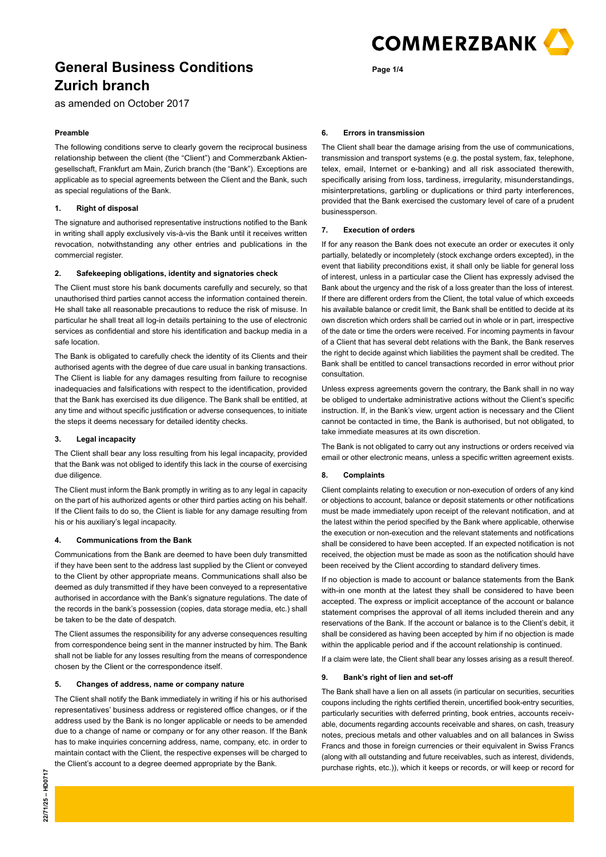

as amended on October 2017

#### **Preamble**

The following conditions serve to clearly govern the reciprocal business relationship between the client (the "Client") and Commerzbank Aktiengesellschaft, Frankfurt am Main, Zurich branch (the "Bank"). Exceptions are applicable as to special agreements between the Client and the Bank, such as special regulations of the Bank.

### **1. Right of disposal**

The signature and authorised representative instructions notified to the Bank in writing shall apply exclusively vis-à-vis the Bank until it receives written revocation, notwithstanding any other entries and publications in the commercial register.

#### **2. Safekeeping obligations, identity and signatories check**

The Client must store his bank documents carefully and securely, so that unauthorised third parties cannot access the information contained therein. He shall take all reasonable precautions to reduce the risk of misuse. In particular he shall treat all log-in details pertaining to the use of electronic services as confidential and store his identification and backup media in a safe location.

The Bank is obligated to carefully check the identity of its Clients and their authorised agents with the degree of due care usual in banking transactions. The Client is liable for any damages resulting from failure to recognise inadequacies and falsifications with respect to the identification, provided that the Bank has exercised its due diligence. The Bank shall be entitled, at any time and without specific justification or adverse consequences, to initiate the steps it deems necessary for detailed identity checks.

#### **3. Legal incapacity**

The Client shall bear any loss resulting from his legal incapacity, provided that the Bank was not obliged to identify this lack in the course of exercising due diligence.

The Client must inform the Bank promptly in writing as to any legal in capacity on the part of his authorized agents or other third parties acting on his behalf. If the Client fails to do so, the Client is liable for any damage resulting from his or his auxiliary's legal incapacity.

#### **4. Communications from the Bank**

Communications from the Bank are deemed to have been duly transmitted if they have been sent to the address last supplied by the Client or conveyed to the Client by other appropriate means. Communications shall also be deemed as duly transmitted if they have been conveyed to a representative authorised in accordance with the Bank's signature regulations. The date of the records in the bank's possession (copies, data storage media, etc.) shall be taken to be the date of despatch.

The Client assumes the responsibility for any adverse consequences resulting from correspondence being sent in the manner instructed by him. The Bank shall not be liable for any losses resulting from the means of correspondence chosen by the Client or the correspondence itself.

#### **5. Changes of address, name or company nature**

The Client shall notify the Bank immediately in writing if his or his authorised representatives' business address or registered office changes, or if the address used by the Bank is no longer applicable or needs to be amended due to a change of name or company or for any other reason. If the Bank has to make inquiries concerning address, name, company, etc. in order to maintain contact with the Client, the respective expenses will be charged to the Client's account to a degree deemed appropriate by the Bank.

# **Page 1/4**

#### **6. Errors in transmission**

The Client shall bear the damage arising from the use of communications, transmission and transport systems (e.g. the postal system, fax, telephone, telex, email, Internet or e-banking) and all risk associated therewith, specifically arising from loss, tardiness, irregularity, misunderstandings, misinterpretations, garbling or duplications or third party interferences, provided that the Bank exercised the customary level of care of a prudent businessperson.

#### **7. Execution of orders**

If for any reason the Bank does not execute an order or executes it only partially, belatedly or incompletely (stock exchange orders excepted), in the event that liability preconditions exist, it shall only be liable for general loss of interest, unless in a particular case the Client has expressly advised the Bank about the urgency and the risk of a loss greater than the loss of interest. If there are different orders from the Client, the total value of which exceeds his available balance or credit limit, the Bank shall be entitled to decide at its own discretion which orders shall be carried out in whole or in part, irrespective of the date or time the orders were received. For incoming payments in favour of a Client that has several debt relations with the Bank, the Bank reserves the right to decide against which liabilities the payment shall be credited. The Bank shall be entitled to cancel transactions recorded in error without prior consultation.

Unless express agreements govern the contrary, the Bank shall in no way be obliged to undertake administrative actions without the Client's specific instruction. If, in the Bank's view, urgent action is necessary and the Client cannot be contacted in time, the Bank is authorised, but not obligated, to take immediate measures at its own discretion.

The Bank is not obligated to carry out any instructions or orders received via email or other electronic means, unless a specific written agreement exists.

#### **8. Complaints**

Client complaints relating to execution or non-execution of orders of any kind or objections to account, balance or deposit statements or other notifications must be made immediately upon receipt of the relevant notification, and at the latest within the period specified by the Bank where applicable, otherwise the execution or non-execution and the relevant statements and notifications shall be considered to have been accepted. If an expected notification is not received, the objection must be made as soon as the notification should have been received by the Client according to standard delivery times.

If no objection is made to account or balance statements from the Bank with-in one month at the latest they shall be considered to have been accepted. The express or implicit acceptance of the account or balance statement comprises the approval of all items included therein and any reservations of the Bank. If the account or balance is to the Client's debit, it shall be considered as having been accepted by him if no objection is made within the applicable period and if the account relationship is continued.

If a claim were late, the Client shall bear any losses arising as a result thereof.

#### **9. Bank's right of lien and set-off**

The Bank shall have a lien on all assets (in particular on securities, securities coupons including the rights certified therein, uncertified book-entry securities, particularly securities with deferred printing, book entries, accounts receivable, documents regarding accounts receivable and shares, on cash, treasury notes, precious metals and other valuables and on all balances in Swiss Francs and those in foreign currencies or their equivalent in Swiss Francs (along with all outstanding and future receivables, such as interest, dividends, purchase rights, etc.)), which it keeps or records, or will keep or record for

22/71/25 - HD0717 **22/71/25 – HD0717**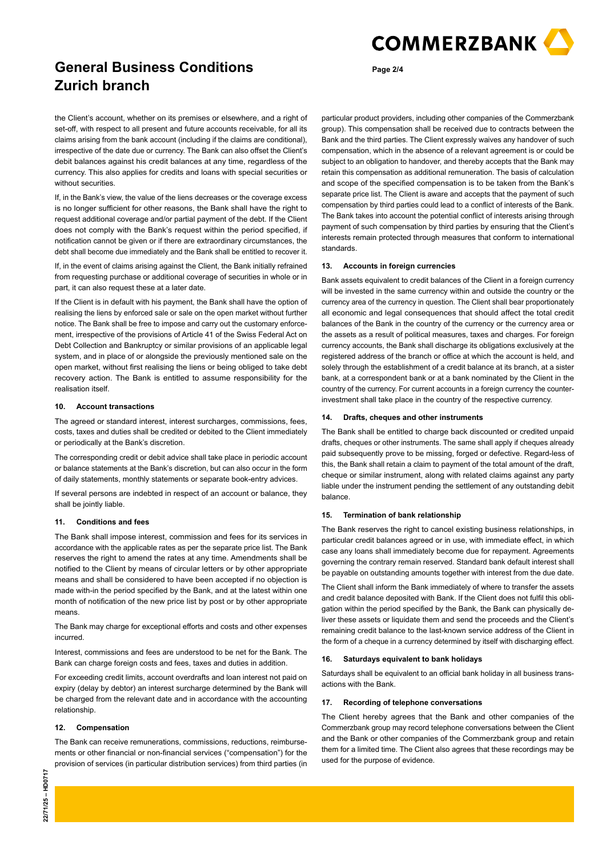

the Client's account, whether on its premises or elsewhere, and a right of set-off, with respect to all present and future accounts receivable, for all its claims arising from the bank account (including if the claims are conditional), irrespective of the date due or currency. The Bank can also offset the Client's debit balances against his credit balances at any time, regardless of the currency. This also applies for credits and loans with special securities or without securities.

If, in the Bank's view, the value of the liens decreases or the coverage excess is no longer sufficient for other reasons, the Bank shall have the right to request additional coverage and/or partial payment of the debt. If the Client does not comply with the Bank's request within the period specified, if notification cannot be given or if there are extraordinary circumstances, the debt shall become due immediately and the Bank shall be entitled to recover it.

If, in the event of claims arising against the Client, the Bank initially refrained from requesting purchase or additional coverage of securities in whole or in part, it can also request these at a later date.

If the Client is in default with his payment, the Bank shall have the option of realising the liens by enforced sale or sale on the open market without further notice. The Bank shall be free to impose and carry out the customary enforcement, irrespective of the provisions of Article 41 of the Swiss Federal Act on Debt Collection and Bankruptcy or similar provisions of an applicable legal system, and in place of or alongside the previously mentioned sale on the open market, without first realising the liens or being obliged to take debt recovery action. The Bank is entitled to assume responsibility for the realisation itself.

#### **10. Account transactions**

The agreed or standard interest, interest surcharges, commissions, fees, costs, taxes and duties shall be credited or debited to the Client immediately or periodically at the Bank's discretion.

The corresponding credit or debit advice shall take place in periodic account or balance statements at the Bank's discretion, but can also occur in the form of daily statements, monthly statements or separate book-entry advices.

If several persons are indebted in respect of an account or balance, they shall be jointly liable.

### **11. Conditions and fees**

The Bank shall impose interest, commission and fees for its services in accordance with the applicable rates as per the separate price list. The Bank reserves the right to amend the rates at any time. Amendments shall be notified to the Client by means of circular letters or by other appropriate means and shall be considered to have been accepted if no objection is made with-in the period specified by the Bank, and at the latest within one month of notification of the new price list by post or by other appropriate means.

The Bank may charge for exceptional efforts and costs and other expenses incurred.

Interest, commissions and fees are understood to be net for the Bank. The Bank can charge foreign costs and fees, taxes and duties in addition.

For exceeding credit limits, account overdrafts and loan interest not paid on expiry (delay by debtor) an interest surcharge determined by the Bank will be charged from the relevant date and in accordance with the accounting relationship.

#### **12. Compensation**

The Bank can receive remunerations, commissions, reductions, reimbursements or other financial or non-financial services ("compensation") for the provision of services (in particular distribution services) from third parties (in particular product providers, including other companies of the Commerzbank group). This compensation shall be received due to contracts between the Bank and the third parties. The Client expressly waives any handover of such compensation, which in the absence of a relevant agreement is or could be subject to an obligation to handover, and thereby accepts that the Bank may retain this compensation as additional remuneration. The basis of calculation and scope of the specified compensation is to be taken from the Bank's separate price list. The Client is aware and accepts that the payment of such compensation by third parties could lead to a conflict of interests of the Bank. The Bank takes into account the potential conflict of interests arising through payment of such compensation by third parties by ensuring that the Client's interests remain protected through measures that conform to international standards.

#### **13. Accounts in foreign currencies**

**Page 2/4**

Bank assets equivalent to credit balances of the Client in a foreign currency will be invested in the same currency within and outside the country or the currency area of the currency in question. The Client shall bear proportionately all economic and legal consequences that should affect the total credit balances of the Bank in the country of the currency or the currency area or the assets as a result of political measures, taxes and charges. For foreign currency accounts, the Bank shall discharge its obligations exclusively at the registered address of the branch or office at which the account is held, and solely through the establishment of a credit balance at its branch, at a sister bank, at a correspondent bank or at a bank nominated by the Client in the country of the currency. For current accounts in a foreign currency the counterinvestment shall take place in the country of the respective currency.

#### **14. Drafts, cheques and other instruments**

The Bank shall be entitled to charge back discounted or credited unpaid drafts, cheques or other instruments. The same shall apply if cheques already paid subsequently prove to be missing, forged or defective. Regard-less of this, the Bank shall retain a claim to payment of the total amount of the draft, cheque or similar instrument, along with related claims against any party liable under the instrument pending the settlement of any outstanding debit balance.

### **15. Termination of bank relationship**

The Bank reserves the right to cancel existing business relationships, in particular credit balances agreed or in use, with immediate effect, in which case any loans shall immediately become due for repayment. Agreements governing the contrary remain reserved. Standard bank default interest shall be payable on outstanding amounts together with interest from the due date.

The Client shall inform the Bank immediately of where to transfer the assets and credit balance deposited with Bank. If the Client does not fulfil this obligation within the period specified by the Bank, the Bank can physically deliver these assets or liquidate them and send the proceeds and the Client's remaining credit balance to the last-known service address of the Client in the form of a cheque in a currency determined by itself with discharging effect.

#### **16. Saturdays equivalent to bank holidays**

Saturdays shall be equivalent to an official bank holiday in all business transactions with the Bank.

#### **17. Recording of telephone conversations**

The Client hereby agrees that the Bank and other companies of the Commerzbank group may record telephone conversations between the Client and the Bank or other companies of the Commerzbank group and retain them for a limited time. The Client also agrees that these recordings may be used for the purpose of evidence.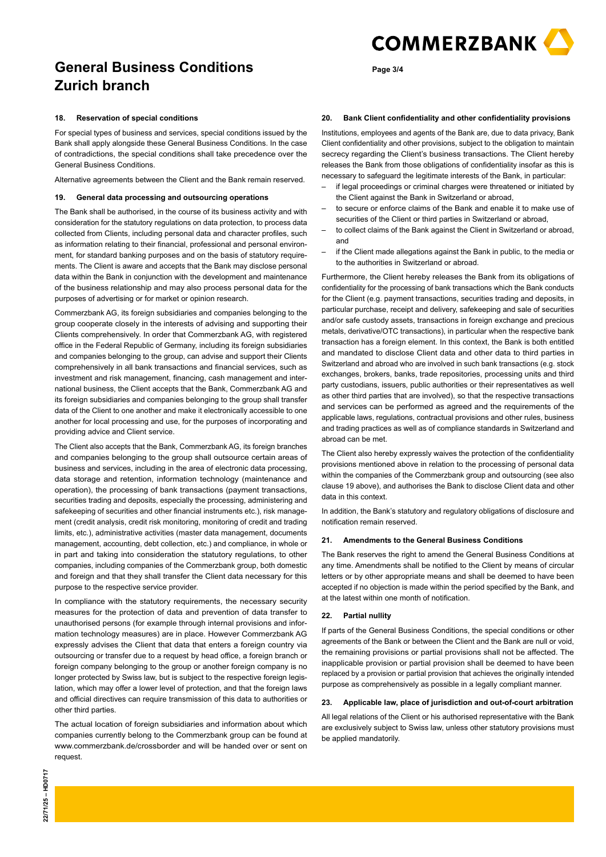

#### **18. Reservation of special conditions**

For special types of business and services, special conditions issued by the Bank shall apply alongside these General Business Conditions. In the case of contradictions, the special conditions shall take precedence over the General Business Conditions.

Alternative agreements between the Client and the Bank remain reserved.

#### **19. General data processing and outsourcing operations**

The Bank shall be authorised, in the course of its business activity and with consideration for the statutory regulations on data protection, to process data collected from Clients, including personal data and character profiles, such as information relating to their financial, professional and personal environment, for standard banking purposes and on the basis of statutory requirements. The Client is aware and accepts that the Bank may disclose personal data within the Bank in conjunction with the development and maintenance of the business relationship and may also process personal data for the purposes of advertising or for market or opinion research.

Commerzbank AG, its foreign subsidiaries and companies belonging to the group cooperate closely in the interests of advising and supporting their Clients comprehensively. In order that Commerzbank AG, with registered office in the Federal Republic of Germany, including its foreign subsidiaries and companies belonging to the group, can advise and support their Clients comprehensively in all bank transactions and financial services, such as investment and risk management, financing, cash management and international business, the Client accepts that the Bank, Commerzbank AG and its foreign subsidiaries and companies belonging to the group shall transfer data of the Client to one another and make it electronically accessible to one another for local processing and use, for the purposes of incorporating and providing advice and Client service.

The Client also accepts that the Bank, Commerzbank AG, its foreign branches and companies belonging to the group shall outsource certain areas of business and services, including in the area of electronic data processing, data storage and retention, information technology (maintenance and operation), the processing of bank transactions (payment transactions, securities trading and deposits, especially the processing, administering and safekeeping of securities and other financial instruments etc.), risk management (credit analysis, credit risk monitoring, monitoring of credit and trading limits, etc.), administrative activities (master data management, documents management, accounting, debt collection, etc.) and compliance, in whole or in part and taking into consideration the statutory regulations, to other companies, including companies of the Commerzbank group, both domestic and foreign and that they shall transfer the Client data necessary for this purpose to the respective service provider.

In compliance with the statutory requirements, the necessary security measures for the protection of data and prevention of data transfer to unauthorised persons (for example through internal provisions and information technology measures) are in place. However Commerzbank AG expressly advises the Client that data that enters a foreign country via outsourcing or transfer due to a request by head office, a foreign branch or foreign company belonging to the group or another foreign company is no longer protected by Swiss law, but is subject to the respective foreign legislation, which may offer a lower level of protection, and that the foreign laws and official directives can require transmission of this data to authorities or other third parties.

The actual location of foreign subsidiaries and information about which companies currently belong to the Commerzbank group can be found at www.commerzbank.de/crossborder and will be handed over or sent on request.

#### **20. Bank Client confidentiality and other confidentiality provisions**

Institutions, employees and agents of the Bank are, due to data privacy, Bank Client confidentiality and other provisions, subject to the obligation to maintain secrecy regarding the Client's business transactions. The Client hereby releases the Bank from those obligations of confidentiality insofar as this is necessary to safeguard the legitimate interests of the Bank, in particular:

- if legal proceedings or criminal charges were threatened or initiated by the Client against the Bank in Switzerland or abroad,
- to secure or enforce claims of the Bank and enable it to make use of securities of the Client or third parties in Switzerland or abroad,
- to collect claims of the Bank against the Client in Switzerland or abroad, and
- if the Client made allegations against the Bank in public, to the media or to the authorities in Switzerland or abroad.

Furthermore, the Client hereby releases the Bank from its obligations of confidentiality for the processing of bank transactions which the Bank conducts for the Client (e.g. payment transactions, securities trading and deposits, in particular purchase, receipt and delivery, safekeeping and sale of securities and/or safe custody assets, transactions in foreign exchange and precious metals, derivative/OTC transactions), in particular when the respective bank transaction has a foreign element. In this context, the Bank is both entitled and mandated to disclose Client data and other data to third parties in Switzerland and abroad who are involved in such bank transactions (e.g. stock exchanges, brokers, banks, trade repositories, processing units and third party custodians, issuers, public authorities or their representatives as well as other third parties that are involved), so that the respective transactions and services can be performed as agreed and the requirements of the applicable laws, regulations, contractual provisions and other rules, business and trading practices as well as of compliance standards in Switzerland and abroad can be met.

The Client also hereby expressly waives the protection of the confidentiality provisions mentioned above in relation to the processing of personal data within the companies of the Commerzbank group and outsourcing (see also clause 19 above), and authorises the Bank to disclose Client data and other data in this context.

In addition, the Bank's statutory and regulatory obligations of disclosure and notification remain reserved.

# **21. Amendments to the General Business Conditions**

The Bank reserves the right to amend the General Business Conditions at any time. Amendments shall be notified to the Client by means of circular letters or by other appropriate means and shall be deemed to have been accepted if no objection is made within the period specified by the Bank, and at the latest within one month of notification.

#### **22. Partial nullity**

If parts of the General Business Conditions, the special conditions or other agreements of the Bank or between the Client and the Bank are null or void, the remaining provisions or partial provisions shall not be affected. The inapplicable provision or partial provision shall be deemed to have been replaced by a provision or partial provision that achieves the originally intended purpose as comprehensively as possible in a legally compliant manner.

#### **23. Applicable law, place of jurisdiction and out-of-court arbitration**

All legal relations of the Client or his authorised representative with the Bank are exclusively subject to Swiss law, unless other statutory provisions must be applied mandatorily.